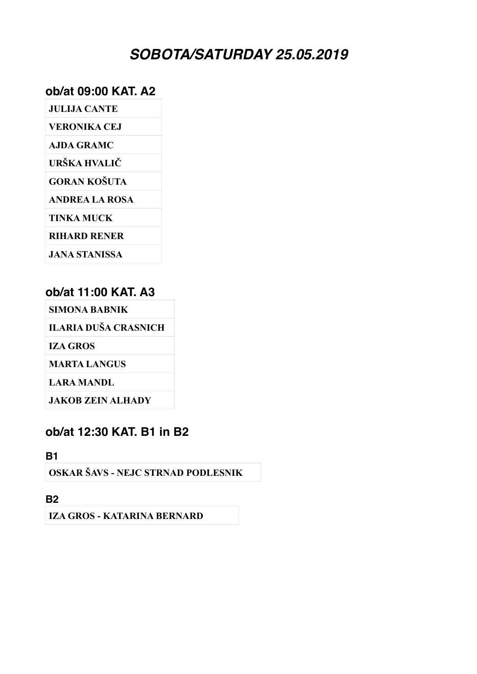# *SOBOTA/SATURDAY 25.05.2019*

#### **ob/at 09:00 KAT. A2**

| <b>JULIJA CANTE</b>   |
|-----------------------|
| VERONIKA CE.I         |
| AJDA GRAMC            |
| URŠKA HVALIČ          |
| <b>GORAN KOŠUTA</b>   |
| <b>ANDREA LA ROSA</b> |
| TINKA MUCK            |
| <b>RIHARD RENER</b>   |
| JANA STANISSA         |

### **ob/at 11:00 KAT. A3**

**SIMONA BABNIK**

**ILARIA DUŠA CRASNICH**

**IZA GROS**

**MARTA LANGUS**

**LARA MANDL**

**JAKOB ZEIN ALHADY**

#### **ob/at 12:30 KAT. B1 in B2**

**B1**

**OSKAR ŠAVS - NEJC STRNAD PODLESNIK**

**B2**

**IZA GROS - KATARINA BERNARD**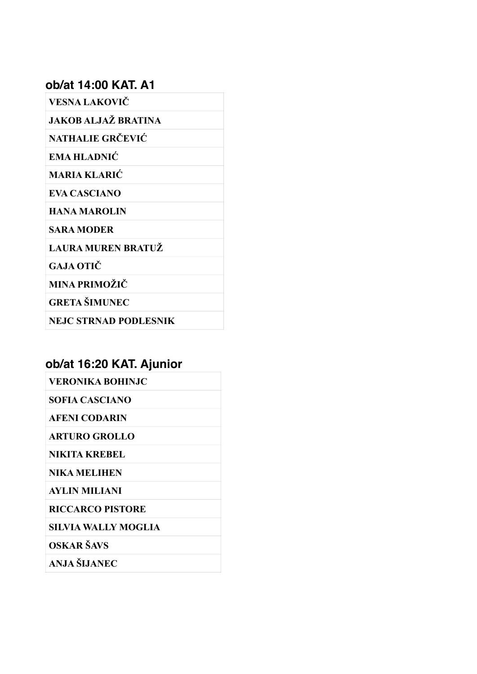#### **ob/at 14:00 KAT. A1**

**VESNA LAKOVIČ**

**JAKOB ALJAŽ BRATINA**

**NATHALIE GRČEVIĆ**

**EMA HLADNIĆ**

**MARIA KLARIĆ**

**EVA CASCIANO**

**HANA MAROLIN**

**SARA MODER**

**LAURA MUREN BRATUŽ**

**GAJA OTIČ**

**MINA PRIMOŽIČ**

**GRETA ŠIMUNEC**

**NEJC STRNAD PODLESNIK**

# **ob/at 16:20 KAT. Ajunior**

| VERONIKA BOHINJC        |
|-------------------------|
| SOFIA CASCIANO          |
| <b>AFENI CODARIN</b>    |
| <b>ARTURO GROLLO</b>    |
| NIKITA KREBEL           |
| <b>NIKA MELIHEN</b>     |
| AYLIN MILIANI           |
| <b>RICCARCO PISTORE</b> |
| SILVIA WALLY MOGLIA     |

**OSKAR ŠAVS**

**ANJA ŠIJANEC**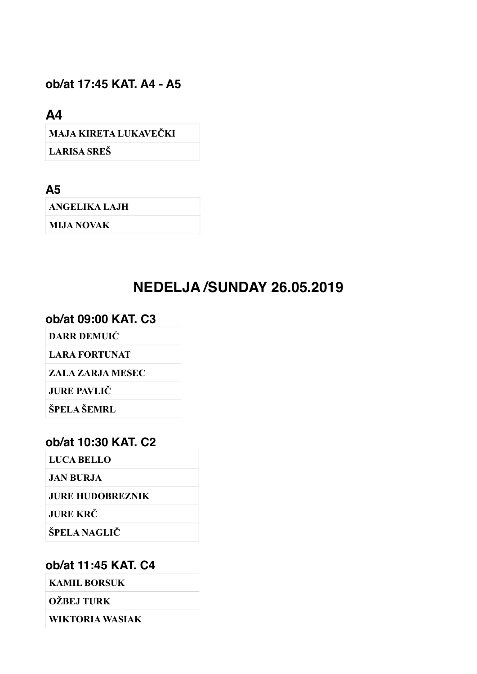## **ob/at 17:45 KAT. A4 - A5**

**A4**

**MAJA KIRETA LUKAVEČKI**

**LARISA SREŠ**

**A5**

**ANGELIKA LAJH**

**MIJA NOVAK**

# **NEDELJA /SUNDAY 26.05.2019**

#### **ob/at 09:00 KAT. C3**

**DARR DEMUIĆ**

**LARA FORTUNAT**

**ZALA ZARJA MESEC**

**JURE PAVLIČ** 

**ŠPELA ŠEMRL**

#### **ob/at 10:30 KAT. C2**

**LUCA BELLO**

**JAN BURJA**

**JURE HUDOBREZNIK**

**JURE KRČ**

**ŠPELA NAGLIČ**

#### **ob/at 11:45 KAT. C4**

**KAMIL BORSUK**

**OŽBEJ TURK**

**WIKTORIA WASIAK**